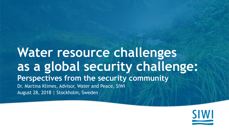#### **Water resource challenges as a global security challenge: Perspectives from the security community**  Dr. Martina Klimes, Advisor, Water and Peace, SIWI August 28, 2018 | Stockholm, Sweden

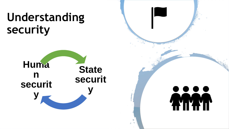# **Understanding security**



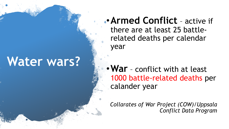## **Water wars?**

•**Armed Conflict** – active if there are at least 25 battlerelated deaths per calendar year

•**War** – conflict with at least 1000 battle-related deaths per calander year

*Collarates of War Project (COW)/Uppsala Conflict Data Program*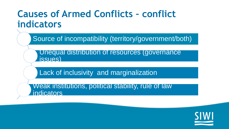#### **Causes of Armed Conflicts – conflict indicators**

Source of incompatibility (territory/government/both)

Unequal distribution of resources (governance issues)

Lack of inclusivity and marginalization

Weak institutions, political stability, rule of law **indicators** 

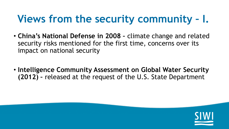### **Views from the security community – I.**

- **China's National Defense in 2008 –** climate change and related security risks mentioned for the first time, concerns over its impact on national security
- **Intelligence Community Assessment on Global Water Security (2012) –** released at the request of the U.S. State Department

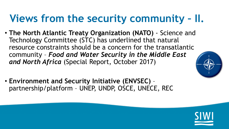### **Views from the security community – II.**

- **The North Atlantic Treaty Organization (NATO)** Science and Technology Committee (STC) has underlined that natural resource constraints should be a concern for the transatlantic community – *Food and Water Security in the Middle East and North Africa* (Special Report, October 2017)
- **Environment and Security Initiative (ENVSEC)**  partnership/platform – UNEP, UNDP, OSCE, UNECE, REC



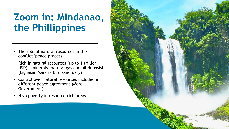### **Zoom in: Mindanao, the Phillippines**

- The role of natural resources in the conflict/peace process
- Rich in natural resources (up to 1 trillion USD) – minerals, natural gas and oil deposists (Liguasan Marsh – bird sanctuary)
- Control over natural resources included in different peace agreement (Moro-Government)
- High poverty in resource-rich areas

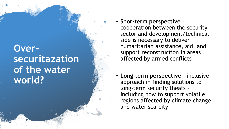#### **Over securitazation of the water world?**

- **Shor -term perspective**  cooperation between the security sector and development/technical side is necessary to deliver humaritarian assistance, aid, and support reconstruction in areas affected by armed conflicts
- Long-term perspective inclusive approach in finding solutions to long -term security theats – including how to support volatile regions affected by climate change and water scarcity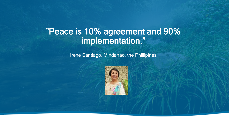#### "Peace is 10% agreement and 90% implementation."

**Irene Santiago, Mindanao, the Phillipines**